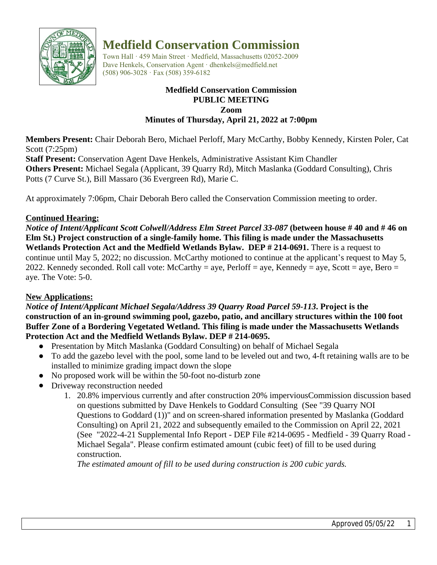

# **Medfield Conservation Commission**

Town Hall · 459 Main Street · Medfield, Massachusetts 02052-2009 Dave Henkels, Conservation Agent · dhenkels@medfield.net (508) 906-3028 · Fax (508) 359-6182

#### **Medfield Conservation Commission PUBLIC MEETING Zoom Minutes of Thursday, April 21, 2022 at 7:00pm**

**Members Present:** Chair Deborah Bero, Michael Perloff, Mary McCarthy, Bobby Kennedy, Kirsten Poler, Cat Scott (7:25pm)

**Staff Present:** Conservation Agent Dave Henkels, Administrative Assistant Kim Chandler **Others Present:** Michael Segala (Applicant, 39 Quarry Rd), Mitch Maslanka (Goddard Consulting), Chris Potts (7 Curve St.), Bill Massaro (36 Evergreen Rd), Marie C.

At approximately 7:06pm, Chair Deborah Bero called the Conservation Commission meeting to order.

## **Continued Hearing:**

*Notice of Intent/Applicant Scott Colwell/Address Elm Street Parcel 33-087* **(between house # 40 and # 46 on Elm St.) Project construction of a single-family home. This filing is made under the Massachusetts Wetlands Protection Act and the Medfield Wetlands Bylaw. DEP # 214-0691.** There is a request to continue until May 5, 2022; no discussion. McCarthy motioned to continue at the applicant's request to May 5, 2022. Kennedy seconded. Roll call vote: McCarthy = aye, Perloff = aye, Kennedy = aye, Scott = aye, Bero = aye. The Vote: 5-0.

# **New Applications:**

*Notice of Intent/Applicant Michael Segala/Address 39 Quarry Road Parcel 59-113***. Project is the construction of an in-ground swimming pool, gazebo, patio, and ancillary structures within the 100 foot Buffer Zone of a Bordering Vegetated Wetland. This filing is made under the Massachusetts Wetlands Protection Act and the Medfield Wetlands Bylaw. DEP # 214-0695.**

- Presentation by Mitch Maslanka (Goddard Consulting) on behalf of Michael Segala
- To add the gazebo level with the pool, some land to be leveled out and two, 4-ft retaining walls are to be installed to minimize grading impact down the slope
- No proposed work will be within the 50-foot no-disturb zone
- Driveway reconstruction needed
	- 1. 20.8% impervious currently and after construction 20% imperviousCommission discussion based on questions submitted by Dave Henkels to Goddard Consulting (See "39 Quarry NOI Questions to Goddard (1))" and on screen-shared information presented by Maslanka (Goddard Consulting) on April 21, 2022 and subsequently emailed to the Commission on April 22, 2021 (See "2022-4-21 Supplemental Info Report - DEP File #214-0695 - Medfield - 39 Quarry Road - Michael Segala". Please confirm estimated amount (cubic feet) of fill to be used during construction.

*The estimated amount of fill to be used during construction is 200 cubic yards.*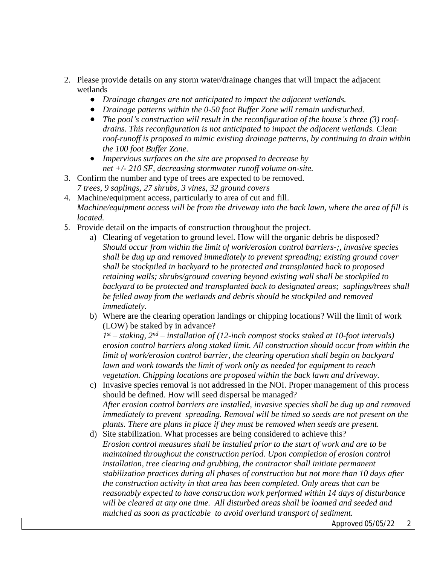- 2. Please provide details on any storm water/drainage changes that will impact the adjacent wetlands
	- *Drainage changes are not anticipated to impact the adjacent wetlands.*
	- *Drainage patterns within the 0-50 foot Buffer Zone will remain undisturbed.*
	- *The pool's construction will result in the reconfiguration of the house's three (3) roofdrains. This reconfiguration is not anticipated to impact the adjacent wetlands. Clean roof-runoff is proposed to mimic existing drainage patterns, by continuing to drain within the 100 foot Buffer Zone.*
	- *● Impervious surfaces on the site are proposed to decrease by net +/- 210 SF, decreasing stormwater runoff volume on-site.*
- 3. Confirm the number and type of trees are expected to be removed. *7 trees, 9 saplings, 27 shrubs, 3 vines, 32 ground covers*
- 4. Machine/equipment access, particularly to area of cut and fill. *Machine/equipment access will be from the driveway into the back lawn, where the area of fill is located.*
- 5. Provide detail on the impacts of construction throughout the project.
	- a) Clearing of vegetation to ground level. How will the organic debris be disposed? *Should occur from within the limit of work/erosion control barriers-;, invasive species shall be dug up and removed immediately to prevent spreading; existing ground cover shall be stockpiled in backyard to be protected and transplanted back to proposed retaining walls; shrubs/ground covering beyond existing wall shall be stockpiled to backyard to be protected and transplanted back to designated areas; saplings/trees shall be felled away from the wetlands and debris should be stockpiled and removed immediately.*
	- b) Where are the clearing operation landings or chipping locations? Will the limit of work (LOW) be staked by in advance?

*1 st – staking, 2nd – installation of (12-inch compost stocks staked at 10-foot intervals) erosion control barriers along staked limit. All construction should occur from within the limit of work/erosion control barrier, the clearing operation shall begin on backyard lawn and work towards the limit of work only as needed for equipment to reach vegetation. Chipping locations are proposed within the back lawn and driveway.*

- c) Invasive species removal is not addressed in the NOI. Proper management of this process should be defined. How will seed dispersal be managed? *After erosion control barriers are installed, invasive species shall be dug up and removed immediately to prevent spreading. Removal will be timed so seeds are not present on the plants. There are plans in place if they must be removed when seeds are present.*
- d) Site stabilization. What processes are being considered to achieve this? *Erosion control measures shall be installed prior to the start of work and are to be maintained throughout the construction period. Upon completion of erosion control installation, tree clearing and grubbing, the contractor shall initiate permanent stabilization practices during all phases of construction but not more than 10 days after the construction activity in that area has been completed. Only areas that can be reasonably expected to have construction work performed within 14 days of disturbance will be cleared at any one time. All disturbed areas shall be loamed and seeded and mulched as soon as practicable to avoid overland transport of sediment.*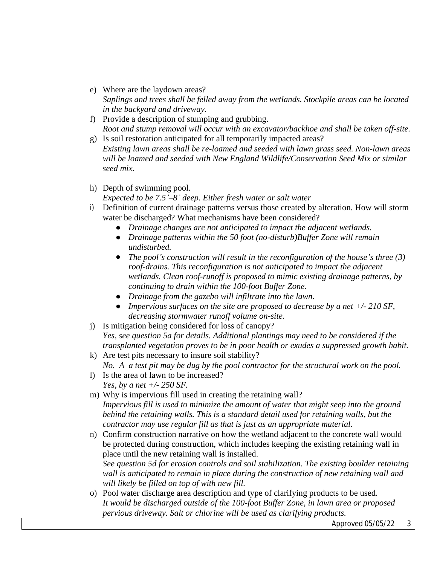e) Where are the laydown areas?

*Saplings and trees shall be felled away from the wetlands. Stockpile areas can be located in the backyard and driveway.*

- f) Provide a description of stumping and grubbing. *Root and stump removal will occur with an excavator/backhoe and shall be taken off-site.*
- g) Is soil restoration anticipated for all temporarily impacted areas? *Existing lawn areas shall be re-loamed and seeded with lawn grass seed. Non-lawn areas will be loamed and seeded with New England Wildlife/Conservation Seed Mix or similar seed mix.*
- h) Depth of swimming pool.
	- *Expected to be 7.5'–8' deep. Either fresh water or salt water*
- i) Definition of current drainage patterns versus those created by alteration. How will storm water be discharged? What mechanisms have been considered?
	- *● Drainage changes are not anticipated to impact the adjacent wetlands.*
	- *● Drainage patterns within the 50 foot (no-disturb)Buffer Zone will remain undisturbed.*
	- *● The pool's construction will result in the reconfiguration of the house's three (3) roof-drains. This reconfiguration is not anticipated to impact the adjacent wetlands. Clean roof-runoff is proposed to mimic existing drainage patterns, by continuing to drain within the 100-foot Buffer Zone.*
	- *● Drainage from the gazebo will infiltrate into the lawn.*
	- *● Impervious surfaces on the site are proposed to decrease by a net +/- 210 SF, decreasing stormwater runoff volume on-site.*
- j) Is mitigation being considered for loss of canopy?

*Yes, see question 5a for details. Additional plantings may need to be considered if the transplanted vegetation proves to be in poor health or exudes a suppressed growth habit.* 

- k) Are test pits necessary to insure soil stability? *No. A a test pit may be dug by the pool contractor for the structural work on the pool.*
- l) Is the area of lawn to be increased? *Yes, by a net +/- 250 SF.*
- m) Why is impervious fill used in creating the retaining wall? *Impervious fill is used to minimize the amount of water that might seep into the ground behind the retaining walls. This is a standard detail used for retaining walls, but the contractor may use regular fill as that is just as an appropriate material.*
- n) Confirm construction narrative on how the wetland adjacent to the concrete wall would be protected during construction, which includes keeping the existing retaining wall in place until the new retaining wall is installed.

*See question 5d for erosion controls and soil stabilization. The existing boulder retaining wall is anticipated to remain in place during the construction of new retaining wall and will likely be filled on top of with new fill.*

o) Pool water discharge area description and type of clarifying products to be used. *It would be discharged outside of the 100-foot Buffer Zone, in lawn area or proposed pervious driveway. Salt or chlorine will be used as clarifying products.*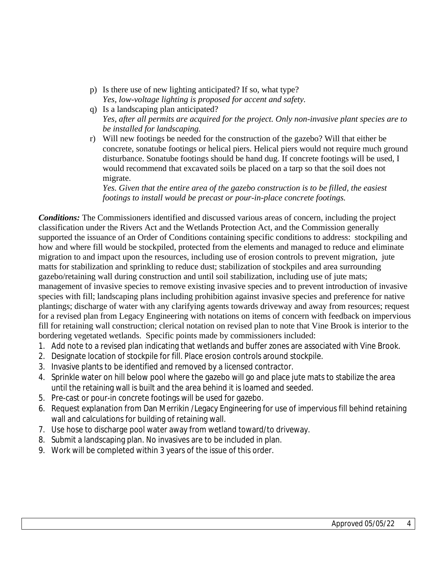- p) Is there use of new lighting anticipated? If so, what type? *Yes, low-voltage lighting is proposed for accent and safety.*
- q) Is a landscaping plan anticipated? *Yes, after all permits are acquired for the project. Only non-invasive plant species are to be installed for landscaping.*
- r) Will new footings be needed for the construction of the gazebo? Will that either be concrete, sonatube footings or helical piers. Helical piers would not require much ground disturbance. Sonatube footings should be hand dug. If concrete footings will be used, I would recommend that excavated soils be placed on a tarp so that the soil does not migrate.

*Yes. Given that the entire area of the gazebo construction is to be filled, the easiest footings to install would be precast or pour-in-place concrete footings.* 

*Conditions:* The Commissioners identified and discussed various areas of concern, including the project classification under the Rivers Act and the Wetlands Protection Act, and the Commission generally supported the issuance of an Order of Conditions containing specific conditions to address: stockpiling and how and where fill would be stockpiled, protected from the elements and managed to reduce and eliminate migration to and impact upon the resources, including use of erosion controls to prevent migration, jute matts for stabilization and sprinkling to reduce dust; stabilization of stockpiles and area surrounding gazebo/retaining wall during construction and until soil stabilization, including use of jute mats; management of invasive species to remove existing invasive species and to prevent introduction of invasive species with fill; landscaping plans including prohibition against invasive species and preference for native plantings; discharge of water with any clarifying agents towards driveway and away from resources; request for a revised plan from Legacy Engineering with notations on items of concern with feedback on impervious fill for retaining wall construction; clerical notation on revised plan to note that Vine Brook is interior to the bordering vegetated wetlands. Specific points made by commissioners included:

- 1. Add note to a revised plan indicating that wetlands and buffer zones are associated with Vine Brook.
- 2. Designate location of stockpile for fill. Place erosion controls around stockpile.
- 3. Invasive plants to be identified and removed by a licensed contractor.
- 4. Sprinkle water on hill below pool where the gazebo will go and place jute mats to stabilize the area until the retaining wall is built and the area behind it is loamed and seeded.
- 5. Pre-cast or pour-in concrete footings will be used for gazebo.
- 6. Request explanation from Dan Merrikin /Legacy Engineering for use of impervious fill behind retaining wall and calculations for building of retaining wall.
- 7. Use hose to discharge pool water away from wetland toward/to driveway.
- 8. Submit a landscaping plan. No invasives are to be included in plan.
- 9. Work will be completed within 3 years of the issue of this order.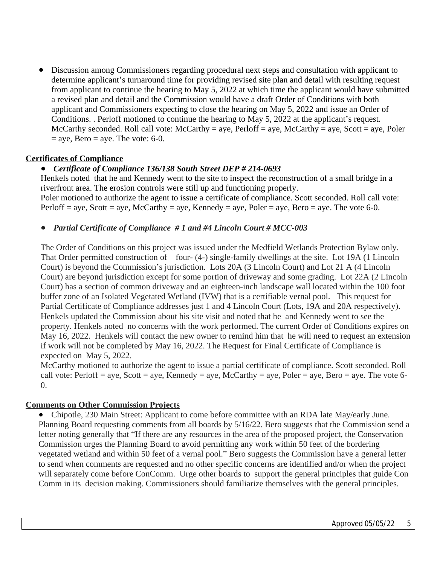Discussion among Commissioners regarding procedural next steps and consultation with applicant to determine applicant's turnaround time for providing revised site plan and detail with resulting request from applicant to continue the hearing to May 5, 2022 at which time the applicant would have submitted a revised plan and detail and the Commission would have a draft Order of Conditions with both applicant and Commissioners expecting to close the hearing on May 5, 2022 and issue an Order of Conditions. . Perloff motioned to continue the hearing to May 5, 2022 at the applicant's request. McCarthy seconded. Roll call vote: McCarthy = aye, Perloff = aye, McCarthy = aye, Scott = aye, Poler  $=$  aye, Bero  $=$  aye. The vote: 6-0.

## **Certificates of Compliance**

## *● Certificate of Compliance 136/138 South Street DEP # 214-0693*

Henkels noted that he and Kennedy went to the site to inspect the reconstruction of a small bridge in a riverfront area. The erosion controls were still up and functioning properly.

Poler motioned to authorize the agent to issue a certificate of compliance. Scott seconded. Roll call vote: Perloff = aye, Scott = aye, McCarthy = aye, Kennedy = aye, Poler = aye, Bero = aye. The vote 6-0.

#### *● Partial Certificate of Compliance # 1 and #4 Lincoln Court # MCC-003*

The Order of Conditions on this project was issued under the Medfield Wetlands Protection Bylaw only. That Order permitted construction of four- (4-) single-family dwellings at the site. Lot 19A (1 Lincoln Court) is beyond the Commission's jurisdiction. Lots 20A (3 Lincoln Court) and Lot 21 A (4 Lincoln Court) are beyond jurisdiction except for some portion of driveway and some grading. Lot 22A (2 Lincoln Court) has a section of common driveway and an eighteen-inch landscape wall located within the 100 foot buffer zone of an Isolated Vegetated Wetland (IVW) that is a certifiable vernal pool. This request for Partial Certificate of Compliance addresses just 1 and 4 Lincoln Court (Lots, 19A and 20A respectively). Henkels updated the Commission about his site visit and noted that he and Kennedy went to see the property. Henkels noted no concerns with the work performed. The current Order of Conditions expires on May 16, 2022. Henkels will contact the new owner to remind him that he will need to request an extension if work will not be completed by May 16, 2022. The Request for Final Certificate of Compliance is expected on May 5, 2022.

McCarthy motioned to authorize the agent to issue a partial certificate of compliance. Scott seconded. Roll call vote: Perloff = aye, Scott = aye, Kennedy = aye, McCarthy = aye, Poler = aye, Bero = aye. The vote 6-0.

## **Comments on Other Commission Projects**

• Chipotle, 230 Main Street: Applicant to come before committee with an RDA late May/early June. Planning Board requesting comments from all boards by 5/16/22. Bero suggests that the Commission send a letter noting generally that "If there are any resources in the area of the proposed project, the Conservation Commission urges the Planning Board to avoid permitting any work within 50 feet of the bordering vegetated wetland and within 50 feet of a vernal pool." Bero suggests the Commission have a general letter to send when comments are requested and no other specific concerns are identified and/or when the project will separately come before ConComm. Urge other boards to support the general principles that guide Con Comm in its decision making. Commissioners should familiarize themselves with the general principles.